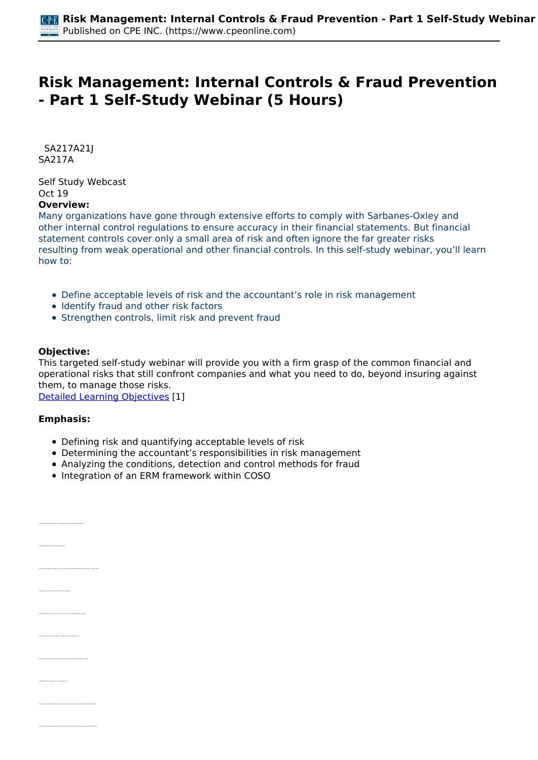# **Risk Management: Internal Controls & Fraud Prevention - Part 1 Self-Study Webinar (5 Hours)**

 *SA217A21J SA217A* 

*Self Study Webcast Oct 19*  **Overview:** 

### *Many organizations have gone through extensive efforts to comply with Sarbanes-Oxley and other internal control regulations to ensure accuracy in their financial statements. But financial statement controls cover only a small area of risk and often ignore the far greater risks resulting from weak operational and other financial controls. In this self-study webinar, you'll learn how to:*

- *Define acceptable levels of risk and the accountant's role in risk management*
- *Identify fraud and other risk factors*
- *Strengthen controls, limit risk and prevent fraud*

### **Objective:**

*This targeted self-study webinar will provide you with a firm grasp of the common financial and operational risks that still confront companies and what you need to do, beyond insuring against them, to manage those risks.*

*[Detailed Learning Objectives](https://www.cpeonline.com/JavaScript:showObjectivesPopup();) [1]*

### **Emphasis:**

- *Defining risk and quantifying acceptable levels of risk*
- *Determining the accountant's responsibilities in risk management*
- *Analyzing the conditions, detection and control methods for fraud*
- *Integration of an ERM framework within COSO*

| n altich rick management programs should be est-                                                      |
|-------------------------------------------------------------------------------------------------------|
| mily appropriate risk manage                                                                          |
| a when we low manuscence to has an additional among production to structural<br>nies the stands be to |
| to the role of fraud activis the CDSD hams                                                            |
| Gettily the cuteportes of risk to be considered within a risk management prop                         |
| with the parameter from adult the ERK framework identifies risk                                       |
| for from which law performance indicators are had ally closed                                         |
| <b>SA the role of insura</b>                                                                          |
| help for analysism and manifesting of anisotrop risk management sinui<br>nies the astimum to          |
| manis for the identification of problems with current risk manager                                    |